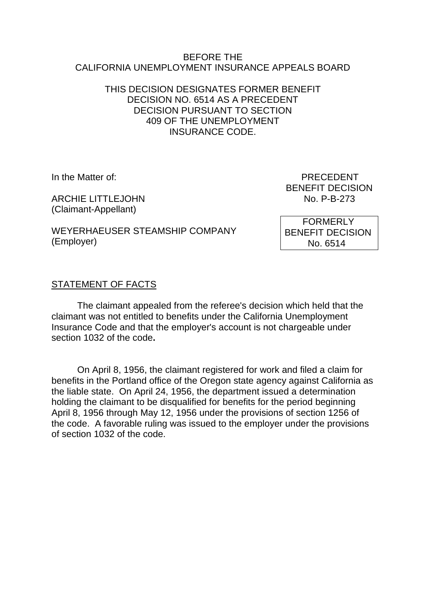#### BEFORE THE CALIFORNIA UNEMPLOYMENT INSURANCE APPEALS BOARD

## THIS DECISION DESIGNATES FORMER BENEFIT DECISION NO. 6514 AS A PRECEDENT DECISION PURSUANT TO SECTION 409 OF THE UNEMPLOYMENT INSURANCE CODE.

ARCHIE LITTLEJOHN No. P-B-273 (Claimant-Appellant)

In the Matter of: **PRECEDENT** BENEFIT DECISION

WEYERHAEUSER STEAMSHIP COMPANY (Employer)

 FORMERLY BENEFIT DECISION No. 6514

## STATEMENT OF FACTS

The claimant appealed from the referee's decision which held that the claimant was not entitled to benefits under the California Unemployment Insurance Code and that the employer's account is not chargeable under section 1032 of the code**.**

On April 8, 1956, the claimant registered for work and filed a claim for benefits in the Portland office of the Oregon state agency against California as the liable state. On April 24, 1956, the department issued a determination holding the claimant to be disqualified for benefits for the period beginning April 8, 1956 through May 12, 1956 under the provisions of section 1256 of the code. A favorable ruling was issued to the employer under the provisions of section 1032 of the code.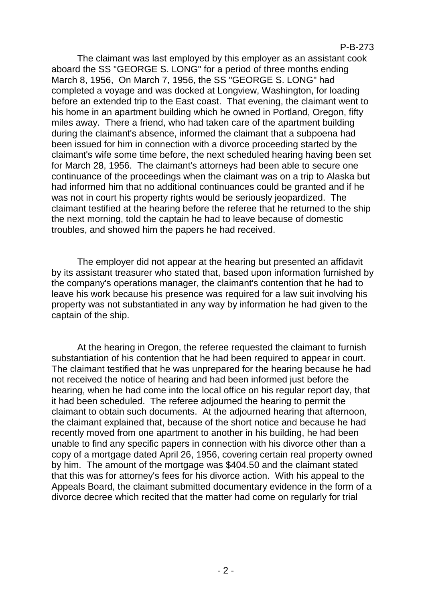#### P-B-273

The claimant was last employed by this employer as an assistant cook aboard the SS "GEORGE S. LONG" for a period of three months ending March 8, 1956, On March 7, 1956, the SS "GEORGE S. LONG" had completed a voyage and was docked at Longview, Washington, for loading before an extended trip to the East coast. That evening, the claimant went to his home in an apartment building which he owned in Portland, Oregon, fifty miles away. There a friend, who had taken care of the apartment building during the claimant's absence, informed the claimant that a subpoena had been issued for him in connection with a divorce proceeding started by the claimant's wife some time before, the next scheduled hearing having been set for March 28, 1956. The claimant's attorneys had been able to secure one continuance of the proceedings when the claimant was on a trip to Alaska but had informed him that no additional continuances could be granted and if he was not in court his property rights would be seriously jeopardized. The claimant testified at the hearing before the referee that he returned to the ship the next morning, told the captain he had to leave because of domestic troubles, and showed him the papers he had received.

The employer did not appear at the hearing but presented an affidavit by its assistant treasurer who stated that, based upon information furnished by the company's operations manager, the claimant's contention that he had to leave his work because his presence was required for a law suit involving his property was not substantiated in any way by information he had given to the captain of the ship.

At the hearing in Oregon, the referee requested the claimant to furnish substantiation of his contention that he had been required to appear in court. The claimant testified that he was unprepared for the hearing because he had not received the notice of hearing and had been informed just before the hearing, when he had come into the local office on his regular report day, that it had been scheduled. The referee adjourned the hearing to permit the claimant to obtain such documents. At the adjourned hearing that afternoon, the claimant explained that, because of the short notice and because he had recently moved from one apartment to another in his building, he had been unable to find any specific papers in connection with his divorce other than a copy of a mortgage dated April 26, 1956, covering certain real property owned by him. The amount of the mortgage was \$404.50 and the claimant stated that this was for attorney's fees for his divorce action. With his appeal to the Appeals Board, the claimant submitted documentary evidence in the form of a divorce decree which recited that the matter had come on regularly for trial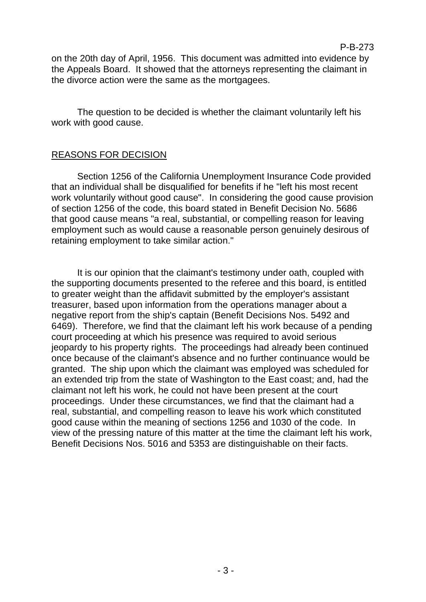on the 20th day of April, 1956. This document was admitted into evidence by the Appeals Board. It showed that the attorneys representing the claimant in the divorce action were the same as the mortgagees.

The question to be decided is whether the claimant voluntarily left his work with good cause.

## REASONS FOR DECISION

Section 1256 of the California Unemployment Insurance Code provided that an individual shall be disqualified for benefits if he "left his most recent work voluntarily without good cause". In considering the good cause provision of section 1256 of the code, this board stated in Benefit Decision No. 5686 that good cause means "a real, substantial, or compelling reason for leaving employment such as would cause a reasonable person genuinely desirous of retaining employment to take similar action."

It is our opinion that the claimant's testimony under oath, coupled with the supporting documents presented to the referee and this board, is entitled to greater weight than the affidavit submitted by the employer's assistant treasurer, based upon information from the operations manager about a negative report from the ship's captain (Benefit Decisions Nos. 5492 and 6469). Therefore, we find that the claimant left his work because of a pending court proceeding at which his presence was required to avoid serious jeopardy to his property rights. The proceedings had already been continued once because of the claimant's absence and no further continuance would be granted. The ship upon which the claimant was employed was scheduled for an extended trip from the state of Washington to the East coast; and, had the claimant not left his work, he could not have been present at the court proceedings. Under these circumstances, we find that the claimant had a real, substantial, and compelling reason to leave his work which constituted good cause within the meaning of sections 1256 and 1030 of the code. In view of the pressing nature of this matter at the time the claimant left his work, Benefit Decisions Nos. 5016 and 5353 are distinguishable on their facts.